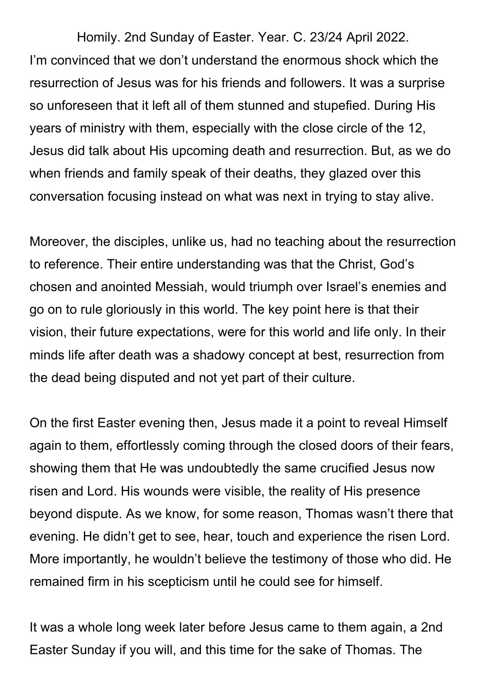Homily. 2nd Sunday of Easter. Year. C. 23/24 April 2022. I'm convinced that we don't understand the enormous shock which the resurrection of Jesus was for his friends and followers. It was a surprise so unforeseen that it left all of them stunned and stupefied. During His years of ministry with them, especially with the close circle of the 12, Jesus did talk about His upcoming death and resurrection. But, as we do when friends and family speak of their deaths, they glazed over this conversation focusing instead on what was next in trying to stay alive.

Moreover, the disciples, unlike us, had no teaching about the resurrection to reference. Their entire understanding was that the Christ, God's chosen and anointed Messiah, would triumph over Israel's enemies and go on to rule gloriously in this world. The key point here is that their vision, their future expectations, were for this world and life only. In their minds life after death was a shadowy concept at best, resurrection from the dead being disputed and not yet part of their culture.

On the first Easter evening then, Jesus made it a point to reveal Himself again to them, effortlessly coming through the closed doors of their fears, showing them that He was undoubtedly the same crucified Jesus now risen and Lord. His wounds were visible, the reality of His presence beyond dispute. As we know, for some reason, Thomas wasn't there that evening. He didn't get to see, hear, touch and experience the risen Lord. More importantly, he wouldn't believe the testimony of those who did. He remained firm in his scepticism until he could see for himself.

It was a whole long week later before Jesus came to them again, a 2nd Easter Sunday if you will, and this time for the sake of Thomas. The